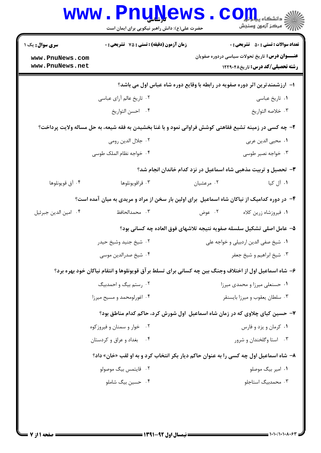|                                                                                       | <b>WWW.PNUNEWS</b><br>حضرت علی(ع): دانش راهبر نیکویی برای ایمان است | $\mathbf{CO}_{\frac{1}{2}}$ دانشگاه پیلو<br>أأأ مركز آزمون وسنجش                                        |  |  |
|---------------------------------------------------------------------------------------|---------------------------------------------------------------------|---------------------------------------------------------------------------------------------------------|--|--|
| <b>سری سوال :</b> یک ۱                                                                | زمان آزمون (دقیقه) : تستی : 75 گشریحی : 0                           | <b>تعداد سوالات : تستي : 50 ٪ تشريحي : 0</b>                                                            |  |  |
| www.PnuNews.com<br>www.PnuNews.net                                                    |                                                                     | <b>عنـــوان درس:</b> تاریخ تحولات سیاسی دردوره صفویان<br><b>رشته تحصیلی/کد درس: تاریخ12290 ۱۲۲۹۰۴۸</b>  |  |  |
|                                                                                       |                                                                     | ا– آرزشمندترین اثر دوره صفویه در رابطه با وقایع دوره شاه عباس اول می باشد؟                              |  |  |
|                                                                                       | ۰۲ تاریخ عالم آرای عباسی                                            | ۰۱ تاریخ عباسی                                                                                          |  |  |
|                                                                                       | ۰۴ احسن التواريخ                                                    | ٠٣ خلاصه التواريخ                                                                                       |  |  |
|                                                                                       |                                                                     | ۲- چه کسی در زمینه تشیع فقاهتی کوشش فراوانی نمود و با غنا بخشیدن به فقه شیعه، به حل مساله ولایت پرداخت؟ |  |  |
|                                                                                       | ۰۲ جلال الدين رومي                                                  | ٠١. محيى الدين عربي                                                                                     |  |  |
|                                                                                       | ۰۴ خواجه نظام الملک طوسی                                            | ۰۳ خواجه نصیر طوسی                                                                                      |  |  |
|                                                                                       |                                                                     | ۳- تحصیل و تربیت مذهبی شاه اسماعیل در نزد کدام خاندان انجام شد؟                                         |  |  |
| ۰۴ آق قويونلوها                                                                       | ۰۳ قراقويونلوها                                                     | ۰۱ آل کیا<br>۰۲ مرعشیان                                                                                 |  |  |
|                                                                                       |                                                                     | ۴- در دوره کدامیک از نیاکان شاه اسماعیل برای اولین بار سخن از مراد و مریدی به میان آمده است؟            |  |  |
| ۰۴ امين الدين جبرئيل                                                                  | ۰۳ محمدالحافظ                                                       | ۰۲ عوض<br>٠١ فيروزشاه زرين كلاه                                                                         |  |  |
|                                                                                       |                                                                     | ۵– عامل اصلی تشکیل سلسله صفویه نتیجه تلاشهای فوق العاده چه کسانی بود؟                                   |  |  |
|                                                                                       | ۰۲ شيخ جنيد وشيخ حيدر                                               | ٠١ شيخ صفي الدين اردبيلي و خواجه على                                                                    |  |  |
|                                                                                       | ۰۴ شیخ صدرالدین موسی                                                | ۰۳ شیخ ابراهیم و شیخ جعفر                                                                               |  |  |
|                                                                                       |                                                                     | ۶– شاه اسماعیل اول از اختلاف وجنگ بین چه کسانی برای تسلط برآق قویونلوها و انتقام نیاکان خود بهره برد؟   |  |  |
|                                                                                       | ۰۲ رستم بیگ و احمدبیگ                                               | ۰۱ حسنعلی میرزا و محمدی میرزا                                                                           |  |  |
|                                                                                       | ۰۴ اغورلومحمد و مسیح میرزا                                          | ۰۳ سلطان یعقوب و میرزا بایسنقر                                                                          |  |  |
| ۷– حسین کیای چلاوی که در زمان شاه اسماعیل اول شورش کرد، حاکم کدام مناطق بود؟          |                                                                     |                                                                                                         |  |  |
|                                                                                       | ۰۲ خوار و سمنان و فیروز کوه                                         | ۰۱ کرمان و یزد و فارس                                                                                   |  |  |
|                                                                                       | ۰۴ بغداد و عراق و کردستان                                           | ۰۳ استا وگلخندان و شرور                                                                                 |  |  |
| ۸– شاه اسماعیل اول چه کسی را به عنوان حاکم دیار بکر انتخاب کرد و به او لقب «خان» داد؟ |                                                                     |                                                                                                         |  |  |
|                                                                                       | ۰۲ قايتمس بيگ موصولو                                                | ۰۱ امیر بیگ موصلو                                                                                       |  |  |
|                                                                                       | ۰۴ حسین بیگ شاملو                                                   | ۰۳ محمدبیگ استاجلو                                                                                      |  |  |
|                                                                                       |                                                                     |                                                                                                         |  |  |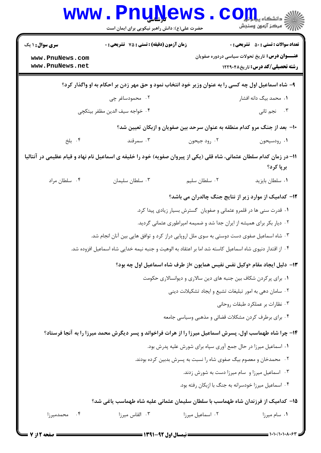|                                                                                                                      | <b>www.PnuNews</b><br>حضرت علی(ع): دانش راهبر نیکویی برای ایمان است                                      |                                                                           | اد دانشڪاء پ <b>یا ہارار</b><br>ا∛ مرکز آزمون وسنجش                                                                                              |
|----------------------------------------------------------------------------------------------------------------------|----------------------------------------------------------------------------------------------------------|---------------------------------------------------------------------------|--------------------------------------------------------------------------------------------------------------------------------------------------|
| <b>سری سوال : ۱ یک</b><br>www.PnuNews.com<br>www.PnuNews.net                                                         | زمان آزمون (دقیقه) : تستی : 75 آتشریحی : 0                                                               |                                                                           | <b>تعداد سوالات : تستی : 50 ٪ تشریحی : 0</b><br><b>عنـــوان درس:</b> تاریخ تحولات سیاسی دردوره صفویان<br><b>رشته تحصیلی/کد درس:</b> تاریخ۱۲۲۹۰۴۸ |
|                                                                                                                      | ۹- شاه اسماعیل اول چه کسی را به عنوان وزیر خود انتخاب نمود و حق مهر زدن بر احکام به او واگذار کرد؟       |                                                                           |                                                                                                                                                  |
|                                                                                                                      | ۰۲ محمودساغر چی                                                                                          |                                                                           | ۰۱ محمد بیگ دانه افشار                                                                                                                           |
|                                                                                                                      | ۰۴ خواجه سيف الدين مظفر بيتكچي                                                                           |                                                                           | ۰۳ نجم ثانی                                                                                                                                      |
|                                                                                                                      |                                                                                                          | ∙ا− بعد از جنگ مرو کدام منطقه به عنوان سرحد بین صفویان و ازبکان تعیین شد؟ |                                                                                                                                                  |
| ۰۴ بلخ                                                                                                               | ۰۳ سمرقند                                                                                                | ۰۲ رود جيحون                                                              | ۰۱ رودسیحون                                                                                                                                      |
| 11– در زمان کدام سلطان عثمانی، شاه قلی (یکی از پیروان صفویه) خود را خلیفه ی اسماعیل نام نهاد و قیام عظیمی در آنتالیا |                                                                                                          |                                                                           | برپا کرد؟                                                                                                                                        |
| ۰۴ سلطان مراد                                                                                                        | ۰۳ سلطان سليمان                                                                                          | ۰۲ سلطان سلیم                                                             | ٠١ سلطان بايزيد                                                                                                                                  |
|                                                                                                                      |                                                                                                          | <b>۱۲</b> – کدامیک از موارد زیر از نتایج جنگ چالدران می باشد؟             |                                                                                                                                                  |
|                                                                                                                      |                                                                                                          | ۰۱ قدرت سنی ها در قلمرو عثمانی و صفویان گسترش بسیار زیادی پیدا کرد.       |                                                                                                                                                  |
|                                                                                                                      |                                                                                                          | ۰۲ دیار بکر برای همیشه از ایران جدا شد و ضمیمه امپراطوری عثمانی گردید.    |                                                                                                                                                  |
|                                                                                                                      | ۰۳ شاه اسماعیل صفوی دست دوستی به سوی ملل اروپایی دراز کرد و توافق هایی بین آنان انجام شد.                |                                                                           |                                                                                                                                                  |
|                                                                                                                      | ۰۴ از اقتدار دنیوی شاه اسماعیل کاسته شد اما بر اعتقاد به الوهیت و جنبه نیمه خدایی شاه اسماعیل افزوده شد. |                                                                           |                                                                                                                                                  |
|                                                                                                                      |                                                                                                          | ۱۳- دلیل ایجاد مقام «وکیل نفس نفیس همایون »از طرف شاه اسماعیل اول چه بود؟ |                                                                                                                                                  |
|                                                                                                                      |                                                                                                          | ۰۱ برای پرکردن شکاف بین جنبه های دین سالاری و دیوانسالاری حکومت           |                                                                                                                                                  |
|                                                                                                                      |                                                                                                          | ۰۲ سامان دهی به امور تبلیغات تشیع و ایجاد تشکیلانت دینی                   |                                                                                                                                                  |
|                                                                                                                      |                                                                                                          |                                                                           | ۰۳ نظارات بر عملكرد طبقات روحاني                                                                                                                 |
|                                                                                                                      |                                                                                                          | ۰۴ برای برطرف کردن مشکلات قضائی و مذهبی وسیاسی جامعه                      |                                                                                                                                                  |
|                                                                                                                      | ۱۴- چرا شاه طهماسب اول، پسرش اسماعیل میرزا را از هرات فراخواند و پسر دیگرش محمد میرزا را به آنجا فرستاد؟ |                                                                           |                                                                                                                                                  |
|                                                                                                                      |                                                                                                          | ٠١ اسماعيل ميرزا در حال جمع آوري سپاه براي شورش عليه پدرش بود.            |                                                                                                                                                  |
|                                                                                                                      |                                                                                                          | ۰۲ محمدخان و معصوم بیگ صفوی شاه را نسبت به پسرش بدبین کرده بودند.         |                                                                                                                                                  |
|                                                                                                                      |                                                                                                          | ۰۳ اسماعیل میرزا و سام میرزا دست به شورش زدند.                            |                                                                                                                                                  |
|                                                                                                                      |                                                                                                          | ۰۴ اسماعیل میرزا خودسرانه به جنگ با ازبکان رفته بود.                      |                                                                                                                                                  |
| ۱۵– کدامیک از فرزندان شاه طهماسب با سلطان سلیمان عثمانی علیه شاه طهماسب یاغی شد؟                                     |                                                                                                          |                                                                           |                                                                                                                                                  |
| ۰۴ محمدمیرزا                                                                                                         | ۰۳ القاس میرزا                                                                                           | ۰۲ اسماعیل میرزا                                                          | ۰۱ سام میرزا                                                                                                                                     |
| = صفحه 12:                                                                                                           |                                                                                                          |                                                                           | $=$ $\frac{1}{1}$ $\frac{1}{1}$ $\frac{1}{1}$                                                                                                    |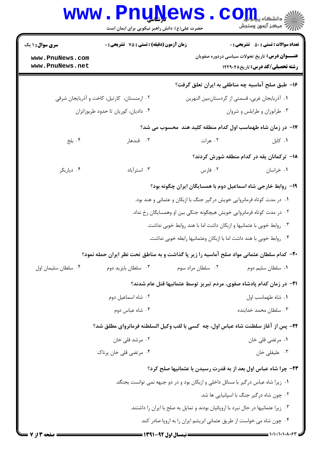|                                                                                    | <b>www.PnuNews</b><br>حضرت علی(ع): دانش راهبر نیکویی برای ایمان است                               |                   | ر آمرڪز آزمون وسنڊش                                                                               |
|------------------------------------------------------------------------------------|---------------------------------------------------------------------------------------------------|-------------------|---------------------------------------------------------------------------------------------------|
| <b>سری سوال : ۱ یک</b>                                                             | <b>زمان آزمون (دقیقه) : تستی : 75 تشریحی : 0</b>                                                  |                   | <b>تعداد سوالات : تستي : 50 ٪ تشريحي : 0</b>                                                      |
| www.PnuNews.com<br>www.PnuNews.net                                                 |                                                                                                   |                   | <b>عنـــوان درس:</b> تاریخ تحولات سیاسی دردوره صفویان<br><b>رشته تحصیلی/کد درس: تاریخ ۱۲۲۹۰۴۸</b> |
|                                                                                    |                                                                                                   |                   | ۱۶- طبق صلح آماسیه چه مناطقی به ایران تعلق گرفت؟                                                  |
|                                                                                    | ۰۲ ارمنستان، کارتیل، کاخت و آذربایجان شرقی                                                        |                   | ٠١. آذربايجان غربي، قسمتي از كردستان،بين النهرين                                                  |
|                                                                                    | ۰۴ دادیان، کوریان تا حدود طربوزانزان                                                              |                   | ۰۳ طرابوزان و طرابلس و شروان                                                                      |
|                                                                                    |                                                                                                   |                   | ۱۷- در زمان شاه طهماسب اول کدام منطقه کلید هند ًمحسوب می شد؟                                      |
| ۰۴ بلخ                                                                             | ۰۳ قندهار                                                                                         | ۰۲ هرات           | ۰۱ کابل                                                                                           |
|                                                                                    |                                                                                                   |                   | ۱۸– ترکمانان یقه در کدام منطقه شورش کردند؟                                                        |
| ۰۴ دیاربکر                                                                         | ۰۳ استرآباد                                                                                       | ۰۲ فارس           | ۰۱ خراسان                                                                                         |
|                                                                                    |                                                                                                   |                   | ۱۹- روابط خارجی شاه اسماعیل دوم با همسایگان ایران چگونه بود؟                                      |
|                                                                                    |                                                                                                   |                   | ۰۱ در مدت کوتاه فرمانروایی خویش درگیر جنگ با ازبکان و عثمانی و هند بود.                           |
|                                                                                    | ۰۲ در مدت کوتاه فرمانروایی خویش هیچگونه جنگی بین او وهمسایگان رخ نداد.                            |                   |                                                                                                   |
|                                                                                    |                                                                                                   |                   | ۰۳ روابط خوبی با عثمانیها و ازبکان داشت اما با هند روابط خوبی نداشت.                              |
|                                                                                    |                                                                                                   |                   | ۰۴ روابط خوبی با هند داشت اما با ازبکان وعثمانیها رابطه خوبی نداشت.                               |
|                                                                                    | <b>۳۰</b> - کدام سلطان عثمانی مواد صلح آماسیه را زیر پا گذاشت و به مناطق تحت نظر ایران حمله نمود؟ |                   |                                                                                                   |
| ۰۴ سلطان سليمان اول                                                                | ۰۳ سلطان بايزيد دوم                                                                               | ۰۲ سلطان مراد سوم | ۰۱ سلطان سلیم دوم                                                                                 |
|                                                                                    |                                                                                                   |                   | <b>۲۱</b> - در زمان کدام پادشاه صفوی، مردم تبریز توسط عثمانیها قتل عام شدند؟                      |
|                                                                                    | ٢. شاه اسماعيل دوم                                                                                |                   | ٠١ شاه طهماسب اول                                                                                 |
|                                                                                    | ۰۴ شاه عباس دوم                                                                                   |                   | ۰۳ سلطان محمد خدابنده                                                                             |
|                                                                                    | 22- پس از آغاز سلطنت شاه عباس اول، چه  کسی با لقب وکیل السلطنه فرمانروای مطلق شد؟                 |                   |                                                                                                   |
|                                                                                    | ۰۲ مرشد قلی خان                                                                                   |                   | ۰۱ مرتضى قلى خان                                                                                  |
|                                                                                    | ۰۴ مرتضی قلی خان پرناک                                                                            |                   | ۰۳ علیقلی خان                                                                                     |
|                                                                                    |                                                                                                   |                   | <b>۲۳</b> - چرا شاه عباس اول بعد از به قدرت رسیدن با عثمانیها صلح کرد؟                            |
|                                                                                    | ۰۱ زیرا شاه عباس درگیر با مسائل داخلی و ازبکان بود و در دو جبهه نمی توانست بجنگد.                 |                   |                                                                                                   |
|                                                                                    |                                                                                                   |                   | ٢. چون شاه درگير جنگ با اسپانيايي ها شد.                                                          |
| ۰۳ زیرا عثمانیها در حال نبرد با اروپائیان بودند و تمایل به صلح با ایران را داشتند. |                                                                                                   |                   |                                                                                                   |
|                                                                                    |                                                                                                   |                   | ۰۴ چون شاه می خولست از طریق عثمانی ابریشم ایران را به اروپا صادر کند.                             |
| <b>صفحه ۲ از ۷</b>                                                                 | ـــــــــــ نیمسال اول 92-1391 ـــــــ                                                            |                   |                                                                                                   |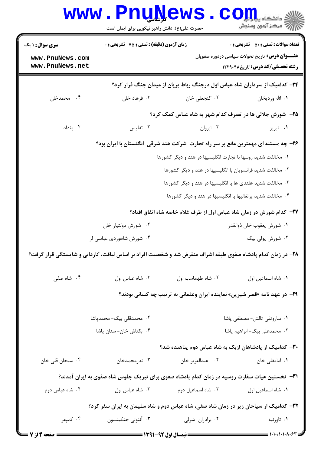|                                                                                       | <b>www.PnuNews</b><br>حضرت علی(ع): دانش راهبر نیکویی برای ایمان است |                                                                                                            | $\text{C}$ OII<br>رِ آھرڪز آزمون وسنڊش                                                                                                                                                                                                                                                                                                                                                                                |
|---------------------------------------------------------------------------------------|---------------------------------------------------------------------|------------------------------------------------------------------------------------------------------------|-----------------------------------------------------------------------------------------------------------------------------------------------------------------------------------------------------------------------------------------------------------------------------------------------------------------------------------------------------------------------------------------------------------------------|
| <b>سری سوال :</b> ۱ یک                                                                | <b>زمان آزمون (دقیقه) : تستی : 75 تشریحی : 0</b>                    |                                                                                                            | <b>تعداد سوالات : تستی : 50 ٪ تشریحی : 0</b>                                                                                                                                                                                                                                                                                                                                                                          |
| www.PnuNews.com<br>www.PnuNews.net                                                    |                                                                     |                                                                                                            | <b>عنـــوان درس:</b> تاریخ تحولات سیاسی دردوره صفویان<br><b>رشته تحصیلی/کد درس:</b> تاریخ۲۲۹۰۴۸                                                                                                                                                                                                                                                                                                                       |
|                                                                                       |                                                                     | ۲۴- کدامیک از سرداران شاه عباس اول درجنگ رباط پریان از میدان جنگ فرار کرد؟                                 |                                                                                                                                                                                                                                                                                                                                                                                                                       |
| ۰۴ محمدخان                                                                            | ۰۳ فرهاد خان                                                        | ٠٢ گنجعلي خان                                                                                              | ٠١. الله ورديخان                                                                                                                                                                                                                                                                                                                                                                                                      |
|                                                                                       |                                                                     | ۲۵– شورش جلالی ها در تصرف کدام شهر به شاه عباس کمک کرد؟                                                    |                                                                                                                                                                                                                                                                                                                                                                                                                       |
| ۰۴ بغداد                                                                              | ۰۳ تفلیس                                                            | ٠٢ ايروان                                                                                                  | ۰۱ تبریز                                                                                                                                                                                                                                                                                                                                                                                                              |
|                                                                                       |                                                                     | ۲۶- چه مسئله ای مهمترین مانع بر سر راه تجارت شرکت هند شرقی انگلستان با ایران بود؟                          |                                                                                                                                                                                                                                                                                                                                                                                                                       |
|                                                                                       |                                                                     | ۰۱ مخالفت شدید روسها با تجارت انگلیسیها در هند و دیگر کشورها                                               |                                                                                                                                                                                                                                                                                                                                                                                                                       |
|                                                                                       |                                                                     | ۰۲ مخالفت شدید فرانسویان با انگلیسیها در هند و دیگر کشورها                                                 |                                                                                                                                                                                                                                                                                                                                                                                                                       |
|                                                                                       |                                                                     | ۰۳ مخالفت شدید هلندی ها با انگلیسیها در هند و دیگر کشورها                                                  |                                                                                                                                                                                                                                                                                                                                                                                                                       |
|                                                                                       |                                                                     | ۰۴ مخالفت شدید پرتغالیها با انگلیسیها در هند و دیگر کشورها                                                 |                                                                                                                                                                                                                                                                                                                                                                                                                       |
|                                                                                       |                                                                     | ٢٧- كدام شورش در زمان شاه عباس اول از طرف غلام خاصه شاه اتفاق افتاد؟                                       |                                                                                                                                                                                                                                                                                                                                                                                                                       |
|                                                                                       | ۰۲ شورش دولتيار خان                                                 |                                                                                                            | ٠١. شورش يعقوب خان ذوالقدر                                                                                                                                                                                                                                                                                                                                                                                            |
|                                                                                       | ۰۴ شورش شاهوردی عباسی لر                                            |                                                                                                            | ۰۳ شورش یولی بیگ                                                                                                                                                                                                                                                                                                                                                                                                      |
|                                                                                       |                                                                     | ۲۸– در زمان کدام پادشاه صفوی طبقه اشراف منقرض شد و شخصیت افراد بر اساس لیاقت، کاردانی و شایستگی قرار گرفت؟ |                                                                                                                                                                                                                                                                                                                                                                                                                       |
| ۰۴ شاه صفی                                                                            | ٠٣ شاه عباس اول                                                     | ٠٢ شاه طهماسب اول                                                                                          | ٠١ شاه اسماعيل اول                                                                                                                                                                                                                                                                                                                                                                                                    |
|                                                                                       |                                                                     | ۲۹- در عهد نامه «قصر شیرین» نماینده ایران وعثمانی به ترتیب چه کسانی بودند؟                                 |                                                                                                                                                                                                                                                                                                                                                                                                                       |
|                                                                                       | ۰۲ محمدقلی بیگ- محمدپاشا                                            |                                                                                                            | ٠١ ساروتقى تالش- مصطفى پاشا                                                                                                                                                                                                                                                                                                                                                                                           |
|                                                                                       | ۰۴ بکتاش خان- سنان پاشا                                             |                                                                                                            | ۰۳ محمدعلی بیگ-ابراهیم پاشا                                                                                                                                                                                                                                                                                                                                                                                           |
|                                                                                       |                                                                     | <b>۳۰</b> - کدامیک از پادشاهان ازبک به شاه عباس دوم پناهنده شد؟                                            |                                                                                                                                                                                                                                                                                                                                                                                                                       |
| ۰۴ سبحان قلی خان                                                                      | ۰۳ ندرمحمدخان                                                       | ٠٢ عبدالعزيز خان                                                                                           | ۰۱ امامقلی خان                                                                                                                                                                                                                                                                                                                                                                                                        |
|                                                                                       |                                                                     | <b>۳۱</b> - نخستین هیات سفارت روسیه در زمان کدام پادشاه صفوی برای تبریک جلوس شاه صفوی به ایران آمدند؟      |                                                                                                                                                                                                                                                                                                                                                                                                                       |
| ۰۴ شاه عباس دوم                                                                       | ۰۳ شاه عباس اول                                                     | ٠٢ شاه اسماعيل دوم                                                                                         | ٠١. شاه اسماعيل اول                                                                                                                                                                                                                                                                                                                                                                                                   |
| ۳۲– کدامیک از سیاحان زیر در زمان شاه صفی، شاه عباس دوم و شاه سلیمان به ایران سفر کرد؟ |                                                                     |                                                                                                            |                                                                                                                                                                                                                                                                                                                                                                                                                       |
| ۰۴ کمیفر                                                                              | ۰۳ آنتونی جنکینسون                                                  | ۰۲ برادران شرلی                                                                                            | ۰۱ تاورنيه                                                                                                                                                                                                                                                                                                                                                                                                            |
| <b>= صفحه 4 از 7 <del>=</del></b>                                                     |                                                                     |                                                                                                            | $\frac{1}{1-\frac{1}{1-\frac{1}{1-\frac{1}{1-\frac{1}{1-\frac{1}{1-\frac{1}{1-\frac{1}{1-\frac{1}{1-\frac{1}{1-\frac{1}{1-\frac{1}{1-\frac{1}{1-\frac{1}{1-\frac{1}{1-\frac{1}{1-\frac{1}{1-\frac{1}{1-\frac{1}{1-\frac{1}{1-\frac{1}{1-\frac{1}{1-\frac{1}{1-\frac{1}{1-\frac{1}{1-\frac{1}{1-\frac{1}{1-\frac{1}{1-\frac{1}{1-\frac{1}{1-\frac{1}{1-\frac{1}{1-\frac{1}{1-\frac{1}{1-\frac{1}{1-\frac{1}{1-\frac{1$ |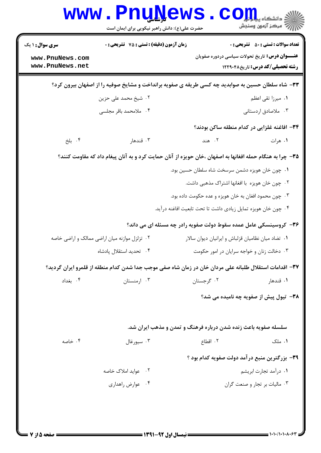| <b>WWW</b>                                                   | <b>TT QTA</b><br>حضرت علی(ع): دانش راهبر نیکویی برای ایمان است                                           |                                                               | د دانشڪاه پ <b>يا پايار</b><br>د<br>أأزأته مركز آزمون وسنجش                                                                                      |
|--------------------------------------------------------------|----------------------------------------------------------------------------------------------------------|---------------------------------------------------------------|--------------------------------------------------------------------------------------------------------------------------------------------------|
| <b>سری سوال : ۱ یک</b><br>www.PnuNews.com<br>www.PnuNews.net | <b>زمان آزمون (دقیقه) : تستی : 75 تشریحی : 0</b>                                                         |                                                               | <b>تعداد سوالات : تستي : 50 ٪ تشريحي : 0</b><br><b>عنـــوان درس:</b> تاریخ تحولات سیاسی دردوره صفویان<br><b>رشته تحصیلی/کد درس:</b> تاریخ۱۲۲۹۰۴۸ |
|                                                              | ۳۳- شاه سلطان حسین به صوابدید چه کسی طریقه ی صفویه برانداخت و مشایخ صوفیه را از اصفهان بیرون کرد؟        |                                                               |                                                                                                                                                  |
|                                                              | ۲. شیخ محمد علی حزین                                                                                     |                                                               | ۰۱ میرزا تقی اعظم                                                                                                                                |
|                                                              | ۰۴ ملامحمد باقر مجلسی                                                                                    |                                                               | ۰۳ ملاصادق اردستانی                                                                                                                              |
|                                                              |                                                                                                          |                                                               | ۳۴- افاغنه غلزایی در کدام منطقه ساکن بودند؟                                                                                                      |
| ۰۴ بلخ                                                       | ۰۳ قندهار                                                                                                | ۲. هند                                                        | ۰۱ هرات                                                                                                                                          |
|                                                              | ۳۵– چرا به هنگام حمله افغانها به اصفهان ،خان حویزه از آنان حمایت کرد و به آنان پیغام داد که مقاومت کنند؟ |                                                               |                                                                                                                                                  |
|                                                              |                                                                                                          | ۰۱ چون خان هویزه دشمن سرسخت شاه سلطان حسین بود.               |                                                                                                                                                  |
|                                                              |                                                                                                          | ۰۲ چون خان هویزه با افغانها اشتراک مذهبی داشت.                |                                                                                                                                                  |
|                                                              |                                                                                                          | ۰۳ چون محمود افغان به خان هویزه و عده حکومت داده بود.         |                                                                                                                                                  |
|                                                              |                                                                                                          | ۰۴ چون خان هویزه تمایل زیادی داشت تا تحت تابعیت افاغنه درآید. |                                                                                                                                                  |
|                                                              | ۳۶- کروسینسکی عامل عمده سقوط دولت صفویه رادر چه مسئله ای می داند؟                                        |                                                               |                                                                                                                                                  |
| ۰۲ تزلزل موازنه میان اراضی ممالک و اراضی خاصه                |                                                                                                          | ٠١ تضاد ميان نظاميان قزلباش و ايرانيان ديوان سالار            |                                                                                                                                                  |
|                                                              | ۰۴ تحدید استقلال پادشاه                                                                                  |                                                               | ۰۳ دخالت زنان و خواجه سرایان در امور حکومت                                                                                                       |
|                                                              | ۳۷– اقدامات استقلال طلبانه علی مردان خان در زمان شاه صفی موجب جدا شدن کدام منطقه از قلمرو ایران گردید؟   |                                                               |                                                                                                                                                  |
| ۰۴ بغداد                                                     | ۰۳ ارمنستان                                                                                              | ۰۲ گرجستان                                                    | ۰۱ قندهار                                                                                                                                        |
|                                                              |                                                                                                          |                                                               | ۳۸- تیول پیش از صفویه چه نامیده می شد؟                                                                                                           |
|                                                              | سلسله صفویه باعث زنده شدن درباره فرهنگ و تمدن و مذهب ایران شد.                                           |                                                               |                                                                                                                                                  |
| ۰۴ خاصه                                                      | ۰۳ سیورغال                                                                                               | ۲. اقطاع                                                      | ۰۱ ملک                                                                                                                                           |
|                                                              |                                                                                                          |                                                               | ۳۹- بزرگترین منبع درآمد دولت صفویه کدام بود ؟                                                                                                    |
|                                                              | ۰۲ عواید املاک خاصه                                                                                      |                                                               | ۰۱ درآمد تجارت ابریشم                                                                                                                            |
|                                                              | ۰۴ عوارض راهداری                                                                                         |                                                               | ۰۳ مالیات بر تجار و صنعت گران                                                                                                                    |
|                                                              |                                                                                                          |                                                               |                                                                                                                                                  |
|                                                              |                                                                                                          |                                                               |                                                                                                                                                  |

4 N.T

51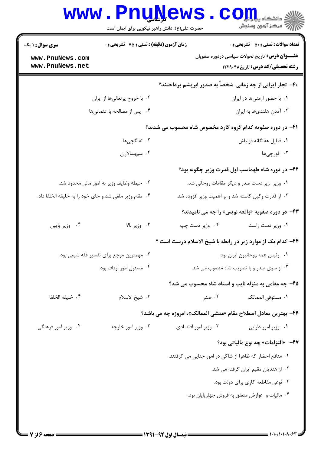|                                                        | حضرت علی(ع): دانش راهبر نیکویی برای ایمان است    |                                                          | کے دانشڪاء پي <mark>ا ہ</mark> ے <mark>۔</mark><br>ا∛ مرکز آزمون وسنجش                            |
|--------------------------------------------------------|--------------------------------------------------|----------------------------------------------------------|---------------------------------------------------------------------------------------------------|
| <b>سری سوال : ۱ یک</b>                                 | <b>زمان آزمون (دقیقه) : تستی : 75 تشریحی : 0</b> |                                                          | <b>تعداد سوالات : تستي : 50 ٪ تشريحي : 0</b>                                                      |
| www.PnuNews.com<br>www.PnuNews.net                     |                                                  |                                                          | <b>عنـــوان درس:</b> تاریخ تحولات سیاسی دردوره صفویان<br><b>رشته تحصیلی/کد درس: تاریخ ۱۲۲۹۰۴۸</b> |
|                                                        |                                                  |                                                          | ۴۰– تجار ایرانی از چه زمانی ًخصاً به صدور ابریشم پرداختند؟                                        |
|                                                        | ۰۲ با خروج پرتغالیها از ایران                    |                                                          | ٠١. با حضور ارمنىها در ايران                                                                      |
|                                                        | ۰۴ پس از مصالحه با عثمانیها                      |                                                          | ۰۳ آمدن هلنديها به ايران                                                                          |
|                                                        |                                                  |                                                          | ۴۱– در دوره صفویه کدام گروه گارد مخصوص شاه محسوب می شدند؟                                         |
|                                                        | ۰۲ تفنگچیها                                      |                                                          | ٠١. قبايل هفتگانه قزلباش                                                                          |
| ۰۴ سپهسالاران                                          |                                                  |                                                          | ۰۳ قورچ <sub>ى</sub> ھا                                                                           |
|                                                        |                                                  |                                                          | ۴۲- در دوره شاه طهماسب اول قدرت وزیر چگونه بود؟                                                   |
|                                                        | ۰۲ حیطه وظایف وزیر به امور مالی محدود شد.        |                                                          | ۰۱ وزیر زیر دست صدر و دیگر مقامات روحانی شد.                                                      |
| ۰۴ مقام وزیر ملغی شد و جای خود را به خلیفه الخلفا داد. |                                                  | ۰۳ از قدرت وکیل کاسته شد و بر اهمیت وزیر افزوده شد.      |                                                                                                   |
|                                                        |                                                  |                                                          | <b>۴۳</b> - در دوره صفویه «واقعه نویس» را چه می نامیدند؟                                          |
| ۰۴ وزير پايين                                          | ۰۳ وزیر بالا                                     | ۰۲ وزیر دست چپ                                           | ٠١ وزير دست راست                                                                                  |
|                                                        |                                                  |                                                          | ۴۴- کدام یک از موارد زیر در رابطه با شیخ الاسلام درست است ؟                                       |
|                                                        | ۰۲ مهمترین مرجع برای تفسیر فقه شیعی بود.         |                                                          | ٠١ رئيس همه روحانيون ايران بود.                                                                   |
| ۰۴ مسئول امور اوقاف بود.                               |                                                  |                                                          | ۰۳ از سوی صدر و با تصویب شاه منصوب می شد.                                                         |
|                                                        |                                                  |                                                          | ۴۵- چه مقامی به منزله نایب و استاد شاه محسوب می شد؟                                               |
| ۰۴ خليفه الخلفا                                        | ٠٣ شيخ الاسلام                                   | ۰۲ صدر                                                   | ٠١ مستوفى الممالك                                                                                 |
|                                                        |                                                  |                                                          | ۴۶- بهترین معادل اصطلاح مقام «منشی الممالک»، امروزه چه می باشد؟                                   |
| ۰۴ وزیر امور فرهنگی                                    | ۰۳ وزیر امور خارجه                               | ۰۲ وزیر امور اقتصادی                                     | ٠١. وزير امور دارايي                                                                              |
|                                                        |                                                  |                                                          | ۴۷- «التزامات» چه نوع مالیاتی بود؟                                                                |
|                                                        |                                                  | ۰۱ منافع احضار که ظاهرا از شاکی در امور جنایی می گرفتند. |                                                                                                   |
|                                                        |                                                  |                                                          | ۰۲ از هندیان مقیم ایران گرفته می شد.                                                              |
|                                                        |                                                  |                                                          | ۰۳ نوعی مقاطعه کاری برای دولت بود.                                                                |
|                                                        |                                                  |                                                          | ۰۴ مالیات و عوارض متعلق به فروش چهارپایان بود.                                                    |